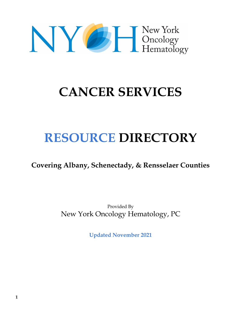# NY EL New York<br>Hematology

# **CANCER SERVICES**

# **RESOURCE DIRECTORY**

**Covering Albany, Schenectady, & Rensselaer Counties**

Provided By New York Oncology Hematology, PC

**Updated November 2021**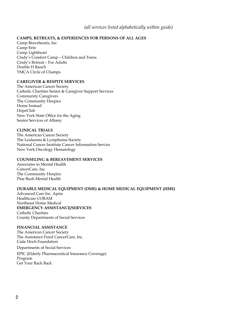#### *(all services listed alphabetically within guide)*

#### **CAMPS, RETREATS, & EXPERIENCES FOR PERSONS OF ALL AGES**

Camp Bravehearts, Inc. Camp Erin Camp Lightheart Cindy's Comfort Camp – Children and Teens Cindy's Retreat – For Adults Double H Ranch YMCA Circle of Champs

#### **CAREGIVER & RESPITE SERVICES**

The American Cancer Society Catholic Charities Senior & Caregiver Support Services Community Caregivers The Community Hospice Home Instead HopeClub New York State Office for the Aging Senior Services of Albany

#### **CLINICAL TRIALS**

The American Cancer Society The Leukemia & Lymphoma Society National Cancer Institute Cancer Information Service New York Oncology Hematology

#### **COUNSELING & BEREAVEMENT SERVICES**

Associates in Mental Health CancerCare, Inc. The Community Hospice Pine Bush Mental Health

#### **DURABLE MEDICAL EQUIPMENT (DME) & HOME MEDICAL EQUIPMENT (HME)**

Advanced Care Inc. Apria Healthcare CORAM Northeast Home Medical **EMERGENCY ASSISTANCE/SERVICES** Catholic Charities County Departments of Social Services

#### **FINANCIAL ASSISTANCE**

The American Cancer Society The Assistance Fund CancerCare, Inc. Catie Hoch Foundation

Departments of Social Services EPIC (Elderly Pharmaceutical Insurance Coverage) Program Get Your Rack Back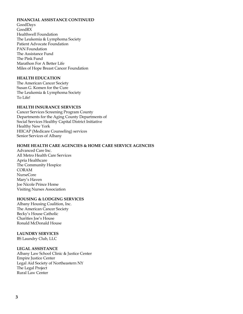#### **FINANCIAL ASSISTANCE CONTINUED**

GoodDays GoodRX Healthwell Foundation The Leukemia & Lymphoma Society Patient Advocate Foundation PAN Foundation The Assistance Fund The Pink Fund Marathon For A Better Life Miles of Hope Breast Cancer Foundation

#### **HEALTH EDUCATION**

The American Cancer Society Susan G. Komen for the Cure The Leukemia & Lymphoma Society To Life!

#### **HEALTH INSURANCE SERVICES**

Cancer Services Screening Program County Departments for the Aging County Departments of Social Services Healthy Capital District Initiative Healthy New York HIICAP (Medicare Counseling) services Senior Services of Albany

#### **HOME HEALTH CARE AGENCIES & HOME CARE SERVICE AGENCIES**

Advanced Care Inc. All Metro Health Care Services Apria Healthcare The Community Hospice CORAM NurseCore Mary's Haven Joe Nicole Prince Home Visiting Nurses Association

#### **HOUSING & LODGING SERVICES**

Albany Housing Coalition, Inc. The American Cancer Society Becky's House Catholic Charities Joe's House Ronald McDonald House

#### **LAUNDRY SERVICES**

BS Laundry Club, LLC

#### **LEGAL ASSISTANCE**

Albany Law School Clinic & Justice Center Empire Justice Center Legal Aid Society of Northeastern NY The Legal Project Rural Law Center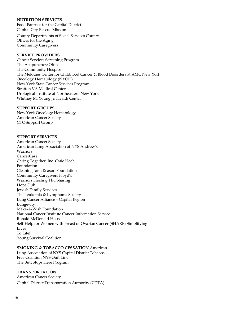#### **NUTRITION SERVICES**

Food Pantries for the Capital District Capital City Rescue Mission

County Departments of Social Services County Offices for the Aging Community Caregivers

#### **SERVICE PROVIDERS**

Cancer Services Screening Program The Acupuncture Office The Community Hospice The Melodies Center for Childhood Cancer & Blood Disorders at AMC New York Oncology Hematology (NYOH) New York State Cancer Services Program Stratton VA Medical Center Urological Institute of Northeastern New York Whitney M. Young Jr. Health Center

#### **SUPPORT GROUPS**

New York Oncology Hematology American Cancer Society CTC Support Group

#### **SUPPORT SERVICES**

American Cancer Society American Lung Association of NYS Andrew's Warriors CancerCare Caring Together. Inc. Catie Hoch Foundation Cleaning for a Reason Foundation Community Caregivers Floyd's Warriors Healing Thu Sharing HopeClub Jewish Family Services The Leukemia & Lymphoma Society Lung Cancer Alliance – Capital Region Lungevity Make-A-Wish Foundation National Cancer Institute Cancer Information Service Ronald McDonald House Self-Help for Women with Breast or Ovarian Cancer (SHARE) Simplifying Lives To Life! Young Survival Coalition

#### **SMOKING & TOBACCO CESSATION** American

Lung Association of NYS Capital District Tobacco-Free Coalition NYS Quit Line The Butt Stops Here Program

#### **TRANSPORTATION**

American Cancer Society Capital District Transportation Authority (CDTA)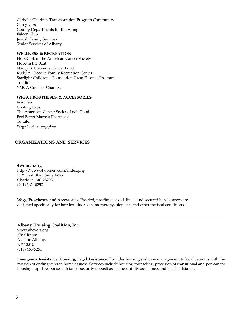Catholic Charities Transportation Program Community **Caregivers** County Departments for the Aging Falcon Club Jewish Family Services Senior Services of Albany

#### **WELLNESS & RECREATION**

HopeClub of the American Cancer Society Hope in the Boat Nancy B. Clemente Cancer Fund Rudy A. Ciccotte Family Recreation Center Starlight Children's Foundation Great Escapes Program To Life! YMCA Circle of Champs

#### **WIGS, PROSTHESES, & ACCESSORIES**

4women Cooling Caps The American Cancer Society Look Good Feel Better Marra's Pharmacy To Life! Wigs & other supplies

#### **ORGANIZATIONS AND SERVICES**

**4women.org** http://www.4women.com/index.php 1235 East Blvd. Suite E-266 Charlotte, NC 28203 (941) 362- 0250

**Wigs, Prostheses, and Accessories:** Pre-tied, pre-fitted, sized, lined, and secured head scarves are designed specifically for hair loss due to chemotherapy, alopecia, and other medical conditions.

#### **Albany Housing Coalition, Inc.**

www.ahcvets.org 278 Clinton Avenue Albany, NY 12210 (518) 465-5251

**Emergency Assistance, Housing, Legal Assistance:** Provides housing and case management to local veterans with the mission of ending veteran homelessness. Services include housing counseling, provision of transitional and permanent housing, rapid-response assistance, security deposit assistance, utility assistance, and legal assistance.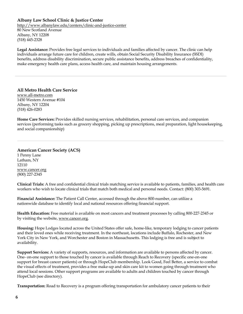#### **Albany Law School Clinic & Justice Center**

http://www.albanylaw.edu/centers/clinic-and-justice-center 80 New Scotland Avenue Albany, NY 12208 (518) 445-2328

**Legal Assistance:** Provides free legal services to individuals and families affected by cancer. The clinic can help individuals arrange future care for children, create wills, obtain Social Security Disability Insurance (SSDI) benefits, address disability discrimination, secure public assistance benefits, address breaches of confidentiality, make emergency health care plans, access health care, and maintain housing arrangements.

**All Metro Health Care Service** www.all-metro.com 1450 Western Avenue #104 Albany, NY 12204 (518) 426-0283

**Home Care Services:** Provides skilled nursing services, rehabilitation, personal care services, and companion services (performing tasks such as grocery shopping, picking up prescriptions, meal preparation, light housekeeping, and social companionship)

**American Cancer Society (ACS)** 1 Penny Lane Latham, NY 12110 www.cancer.org (800) 227-2345

**Clinical Trials:** A free and confidential clinical trials matching service is available to patients, families, and health care workers who wish to locate clinical trials that match both medical and personal needs. Contact: (800) 303-5691.

**Financial Assistance:** The Patient Call Center, accessed through the above 800-number, can utilize a nationwide database to identify local and national resources offering financial support.

**Health Education:** Free material is available on most cancers and treatment processes by calling 800-227-2345 or by visiting the website, www.cancer.org.

**Housing:** Hope Lodges located across the United States offer safe, home-like, temporary lodging to cancer patients and their loved ones while receiving treatment. In the northeast, locations include Buffalo, Rochester, and New York City in New York, and Worchester and Boston in Massachusetts. This lodging is free and is subject to availability.

**Support Services:** A variety of supports, resources, and information are available to persons affected by cancer. One- on-one support to those touched by cancer is available through Reach to Recovery (specific one-on-one support for breast cancer patients) or through HopeClub membership. Look Good, Feel Better, a service to combat the visual effects of treatment, provides a free make-up and skin care kit to women going through treatment who attend local sessions. Other support programs are available to adults and children touched by cancer through HopeClub (see directory).

**Transportation:** Road to Recovery is a program offering transportation for ambulatory cancer patients to their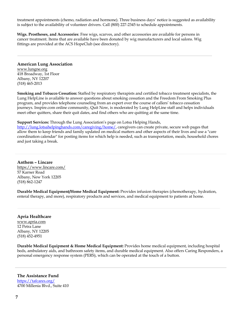treatment appointments (chemo, radiation and hormone). Three business days' notice is suggested as availability is subject to the availability of volunteer drivers. Call (800) 227-2345 to schedule appointments.

**Wigs. Prostheses, and Accessories**: Free wigs, scarves, and other accessories are available for persons in cancer treatment. Items that are available have been donated by wig manufacturers and local salons. Wig fittings are provided at the ACS HopeClub (see directory).

#### **American Lung Association**

www.lungne.org 418 Broadway, 1st Floor Albany, NY 12207 (518) 465-2013

**Smoking and Tobacco Cessation:** Staffed by respiratory therapists and certified tobacco treatment specialists, the Lung HelpLine is available to answer questions about smoking cessation and the Freedom From Smoking Plus program, and provides telephone counseling from an expert over the course of callers' tobacco cessation journeys. Inspire.com online community, Quit Now, is moderated by Lung HelpLine staff and helps individuals meet other quitters, share their quit dates, and find others who are quitting at the same time.

**Support Services:** Through the Lung Association's page on Lotsa Helping Hands,

http://lung.lotsahelpinghands.com/caregiving/home/, caregivers can create private, secure web pages that allow them to keep friends and family updated on medical matters and other aspects of their lives and use a "care coordination calendar" for posting items for which help is needed, such as transportation, meals, household chores and just taking a break.

**Anthem – Lincare** https://www.lincare.com/ 57 Karner Road Albany, New York 12205 (518) 862-1247

**Durable Medical Equipment/Home Medical Equipment:** Provides infusion therapies (chemotherapy, hydration, enteral therapy, and more), respiratory products and services, and medical equipment to patients at home.

#### **Apria Healthcare**

www.apria.com 12 Petra Lane Albany, NY 12205 (518) 452-4951

**Durable Medical Equipment & Home Medical Equipment:** Provides home medical equipment, including hospital beds, ambulatory aids, and bathroom safety items, and durable medical equipment. Also offers Caring Responders, a personal emergency response system (PERS), which can be operated at the touch of a button.

**The Assistance Fund** https://tafcares.org/ 4700 Millenia Blvd., Suite 410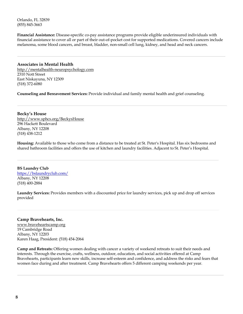Orlando, FL 32839 (855) 845-3663

**Financial Assistance:** Disease-specific co-pay assistance programs provide eligible underinsured individuals with financial assistance to cover all or part of their out-of-pocket cost for supported medications. Covered cancers include melanoma, some blood cancers, and breast, bladder, non-small cell lung, kidney, and head and neck cancers.

**Associates in Mental Health** http://mentalhealth-neuropsychology.com 2310 Nott Street East Niskayuna, NY 12309 (518) 372-6080

**Counseling and Bereavement Services:** Provide individual and family mental health and grief counseling.

**Becky's House** http://www.sphcs.org/BeckysHouse 296 Hackett Boulevard Albany, NY 12208 (518) 438-1212

**Housing:** Available to those who come from a distance to be treated at St. Peter's Hospital. Has six bedrooms and shared bathroom facilities and offers the use of kitchen and laundry facilities. Adjacent to St. Peter's Hospital.

**BS Laundry Club** https://bslaundryclub.com/ Albany, NY 12208 (518) 400-2884

**Laundry Services:** Provides members with a discounted price for laundry services, pick up and drop off services provided

#### **Camp Bravehearts, Inc.**

www.braveheartscamp.org 19 Cambridge Road Albany, NY 12203 Karen Haag, President: (518) 454-2064

**Camp and Retreats:** Offering women dealing with cancer a variety of weekend retreats to suit their needs and interests. Through the exercise, crafts, wellness, outdoor, education, and social activities offered at Camp Bravehearts, participants learn new skills, increase self-esteem and confidence, and address the risks and fears that women face during and after treatment. Camp Bravehearts offers 5 different camping weekends per year.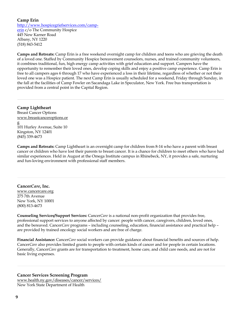#### **Camp Erin**

http://www.hospicegriefservices.com/camperin c/o The Community Hospice 445 New Karner Road Albany, NY 1220 (518) 843-5412

**Camps and Retreats:** Camp Erin is a free weekend overnight camp for children and teens who are grieving the death of a loved one. Staffed by Community Hospice bereavement counselors, nurses, and trained community volunteers, it combines traditional, fun, high energy camp activities with grief education and support. Campers have the opportunity to remember their loved ones, develop coping skills and enjoy a positive camp experience. Camp Erin is free to all campers ages 6 through 17 who have experienced a loss in their lifetime, regardless of whether or not their loved one was a Hospice patient. The next Camp Erin is usually scheduled for a weekend, Friday through Sunday, in the fall at the facilities of Camp Fowler on Sacandaga Lake in Speculator, New York. Free bus transportation is provided from a central point in the Capital Region.

#### **Camp Lightheart**

Breast Cancer Options www.breastcanceroptions.or g 101 Hurley Avenue, Suite 10 Kingston, NY 12401 (845) 339-4673

**Camps and Retreats:** Camp Lightheart is an overnight camp for children from 8-14 who have a parent with breast cancer or children who have lost their parents to breast cancer. It is a chance for children to meet others who have had similar experiences. Held in August at the Omega Institute campus in Rhinebeck, NY, it provides a safe, nurturing and fun-loving environment with professional staff members.

#### **Cancer***Care***, Inc.**

www.cancercare.org 275 7th Avenue New York, NY 10001 (800) 813-4673

**Counseling Services/Support Services:** Cancer*Care* is a national non-profit organization that provides free, professional support services to anyone affected by cancer: people with cancer, caregivers, children, loved ones, and the bereaved. Cancer*Care* programs – including counseling, education, financial assistance and practical help – are provided by trained oncology social workers and are free of charge.

**Financial Assistance:** Cancer*Care* social workers can provide guidance about financial benefits and sources of help. Cancer*Care* also provides limited grants to people with certain kinds of cancer and for people in certain locations. Generally, Cancer*Care* grants are for transportation to treatment, home care, and child care needs, and are not for basic living expenses.

#### **Cancer Services Screening Program**

www.health.ny.gov/diseases/cancer/services/ New York State Department of Health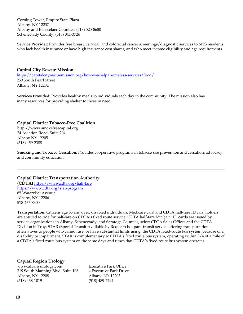Corning Tower, Empire State Plaza Albany, NY 12237 Albany and Rensselaer Counties: (518) 525-8680 Schenectady County: (518) 841-3726

**Service Provider:** Provides free breast, cervical, and colorectal cancer screenings/diagnostic services to NYS residents who lack health insurance or have high insurance cost shares, and who meet income eligibility and age requirements.

#### **Capital City Rescue Mission**

https://capitalcityrescuemission.org/how-we-help/homeless-services/food/ 259 South Pearl Street Albany, NY 12202

 **Services Provided:** Provides healthy meals to individuals each day in the community. The mission also has many resources for providing shelter to those in need.

#### **Capital District Tobacco-Free Coalition**

http://www.smokefreecapital.org 24 Aviation Road, Suite 204 Albany NY 12205 (518) 459-2388

**Smoking and Tobacco Cessation:** Provides cooperative programs in tobacco use prevention and cessation, advocacy, and community education.

#### **Capital District Transportation Authority**

**(CDTA)** https://www.cdta.org/half-fare https://www.cdta.org/star-program 85 Watervliet Avenue Albany, NY 12206 518-437-8300

**Transportation:** Citizens age 65 and over, disabled individuals, Medicare card and CDTA half-fare ID card holders are entitled to ride for half-fare on CDTA's fixed route service. CDTA half-fare *Navigator* ID cards are issued by service organizations in Albany, Schenectady, and Saratoga Counties, select CDTA Sales Offices and the CDTA Division in Troy. STAR (Special Transit Available by Request) is a para-transit service offering transportation alternatives to people who cannot use, or have substantial limits using, the CDTA fixed-route bus system because of a disability or impairment. STAR is complementary to CDTA's fixed route bus system, operating within 3/4 of a mile of a CDTA's fixed route bus system on the same days and times that CDTA's fixed route bus system operates.

#### **Capital Region Urology**

www.albanyurology.com Executive Park Office 319 South Manning Blvd. Suite 106 4 Executive Park Drive Albany, NY 12208 Albany, NY 12203 (518) 438-1019 (518) 489-7494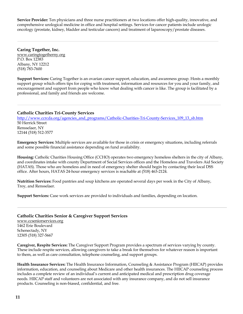**Service Provider:** Ten physicians and three nurse practitioners at two locations offer high-quality, innovative, and comprehensive urological medicine in office and hospital settings. Services for cancer patients include urologic oncology (prostate, kidney, bladder and testicular cancers) and treatment of laparoscopy/prostate diseases.

**Caring Together, Inc.**  www.caringtogetherny.org P.O. Box 12383 Albany, NY 12212 (518) 783-7600

**Support Services:** Caring Together is an ovarian cancer support, education, and awareness group. Hosts a monthly support group which offers tips for coping with treatment, information and resources for you and your family, and encouragement and support from people who know what dealing with cancer is like. The group is facilitated by a professional, and family and friends are welcome.

#### **Catholic Charities Tri-County Services**

http://www.ccrcda.org/agencies\_and\_programs/Catholic-Charities-Tri-County-Services\_109\_13\_sb.htm 50 Herrick Street Rensselaer, NY 12144 (518) 512-3577

**Emergency Services:** Multiple services are available for those in crisis or emergency situations, including referrals and some possible financial assistance depending on fund availability.

**Housing:** Catholic Charities Housing Office (CCHO) operates two emergency homeless shelters in the city of Albany, and coordinates intake with county Department of Social Services offices and the Homeless and Travelers Aid Society (HATAS). Those who are homeless and in need of emergency shelter should begin by contacting their local DSS office. After hours, HATAS 24-hour emergency services is reachable at (518) 463-2124.

**Nutrition Services:** Food pantries and soup kitchens are operated several days per week in the City of Albany, Troy, and Rensselaer.

**Support Services:** Case work services are provided to individuals and families, depending on location.

#### **Catholic Charities Senior & Caregiver Support Services**

www.ccseniorservices.org 1462 Erie Boulevard Schenectady, NY 12305 (518) 327-5667

**Caregiver, Respite Services:** The Caregiver Support Program provides a spectrum of services varying by county. These include respite services, allowing caregivers to take a break for themselves for whatever reason is important to them, as well as care consultation, telephone counseling, and support groups.

**Health Insurance Services:** The Health Insurance Information, Counseling & Assistance Program (HIICAP) provides information, education, and counseling about Medicare and other health insurances. The HIICAP counseling process includes a complete review of an individual's current and anticipated medical and prescription drug coverage needs. HIICAP staff and volunteers are not associated with any insurance company, and do not sell insurance products. Counseling is non-biased, confidential, and free.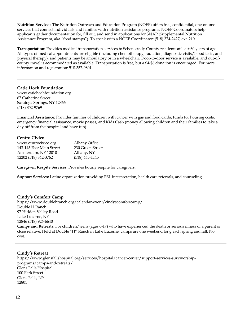**Nutrition Services:** The Nutrition Outreach and Education Program (NOEP) offers free, confidential, one-on-one services that connect individuals and families with nutrition assistance programs. NOEP Coordinators help applicants gather documentation for, fill out, and send in applications for SNAP (Supplemental Nutrition Assistance Program, aka "food stamps"). To speak with a NOEP Coordinator: (518) 374-2427, ext. 210.

**Transportation:** Provides medical transportation services to Schenectady County residents at least 60 years of age. All types of medical appointments are eligible (including chemotherapy, radiation, diagnostic visits/blood tests, and physical therapy), and patients may be ambulatory or in a wheelchair. Door-to-door service is available, and out-ofcounty travel is accommodated as available. Transportation is free, but a \$4-\$6 donation is encouraged. For more information and registration: 518-357-9801.

**Catie Hoch Foundation** www.catiehochfoundation.org 67 Catherine Street Saratoga Springs, NY 12866 (518) 852-9769

**Financial Assistance:** Provides families of children with cancer with gas and food cards, funds for housing costs, emergency financial assistance, movie passes, and Kids Cash (money allowing children and their families to take a day off from the hospital and have fun).

#### **Centro Civico**

| www.centrocivico.org     | Albany Office    |
|--------------------------|------------------|
| 143-145 East Main Street | 230 Green Street |
| Amsterdam, NY 12010      | Albany, NY       |
| 12202 (518) 842-3762     | $(518)$ 465-1145 |

**Caregiver, Respite Services:** Provides hourly respite for caregivers.

**Support Services:** Latino organization providing ESL interpretation, health care referrals, and counseling.

#### **Cindy's Comfort Camp**

https://www.doublehranch.org/calendar-event/cindyscomfortcamp/ Double H Ranch 97 Hidden Valley Road Lake Luzerne, NY 12846 (518) 926-6640 **Camps and Retreats:** For children/teens (ages 6-17) who have experienced the death or serious illness of a parent or close relative. Held at Double "H" Ranch in Lake Luzerne, camps are one weekend long each spring and fall. No cost.

#### **Cindy's Retreat**

https://www.glensfallshospital.org/services/hospital/cancer-center/support-services-survivorshipprograms/camps-and-retreats/ Glens Falls Hospital 100 Park Street Glens Falls, NY 12801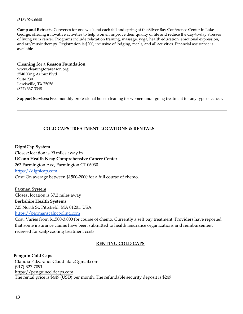(518) 926-6640

**Camp and Retreats:** Convenes for one weekend each fall and spring at the Silver Bay Conference Center in Lake George, offering innovative activities to help women improve their quality of life and reduce the day-to-day stresses of living with cancer. Programs include relaxation training, massage, yoga, health education, emotional expression, and art/music therapy. Registration is \$200, inclusive of lodging, meals, and all activities. Financial assistance is available.

#### **Cleaning for a Reason Foundation**

www.cleaningforareason.org 2540 King Arthur Blvd Suite 230 Lewisville, TX 75056 (877) 337-3348

**Support Services:** Free monthly professional house cleaning for women undergoing treatment for any type of cancer.

#### **COLD CAPS TREATMENT LOCATIONS & RENTALS**

**DigniCap System** Closest location is 99 miles away in **UConn Health Neag Comprehensive Cancer Center** 263 Farmington Ave, Farmington CT 06030 https://dignicap.com Cost: On average between \$1500-2000 for a full course of chemo.

**Paxman System** Closest location is 37.2 miles away **Berkshire Health Systems** 

725 North St, Pittsfield, MA 01201, USA

https://paxmanscalpcooling.com

Cost: Varies from \$1,500-3,000 for course of chemo. Currently a self pay treatment. Providers have reported that some insurance claims have been submitted to health insurance organizations and reimbursement received for scalp cooling treatment costs.

#### **RENTING COLD CAPS**

 **Penguin Cold Caps** Claudia Falzarano: Claudiafalz@gmail.com (917)-327-7091 https://penguincoldcaps.com The rental price is \$449 (USD) per month. The refundable security deposit is \$249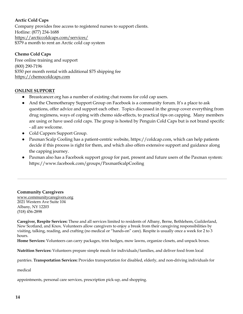#### **Arctic Cold Caps**

Company provides free access to registered nurses to support clients. Hotline: (877) 234-1688 https://arcticcoldcaps.com/services/ \$379 a month to rent an Arctic cold cap system

#### **Chemo Cold Caps**

Free online training and support (800) 290-7196 \$350 per month rental with additional \$75 shipping fee https://chemocoldcaps.com

#### **ONLINE SUPPORT**

- Breastcancer.org has a number of existing chat rooms for cold cap users.
- And the Chemotherapy Support Group on Facebook is a community forum. It's a place to ask questions, offer advice and support each other. Topics discussed in the group cover everything from drug regimens, ways of coping with chemo side-effects, to practical tips on capping. Many members are using or have used cold caps. The group is hosted by Penguin Cold Caps but is not brand specific - all are welcome.
- Cold Cappers Support Group.
- Paxman Scalp Cooling has a patient-centric website, https://coldcap.com, which can help patients decide if this process is right for them, and which also offers extensive support and guidance along the capping journey.
- Paxman also has a Facebook support group for past, present and future users of the Paxman system: https://www.facebook.com/groups/PaxmanScalpCooling

**Community Caregivers** www.communitycaregivers.org 2021 Western Ave Suite 104 Albany, NY 12203 (518) 456-2898

**Caregiver, Respite Services:** These and all services limited to residents of Albany, Berne, Bethlehem, Guilderland, New Scotland, and Knox. Volunteers allow caregivers to enjoy a break from their caregiving responsibilities by visiting, talking, reading, and crafting (no medical or "hands-on" care). Respite is usually once a week for 2 to 3 hours.

**Home Services:** Volunteers can carry packages, trim hedges, mow lawns, organize closets, and unpack boxes.

**Nutrition Services:** Volunteers prepare simple meals for individuals/families, and deliver food from local

pantries. **Transportation Services:** Provides transportation for disabled, elderly, and non-driving individuals for

medical

appointments, personal care services, prescription pick-up, and shopping.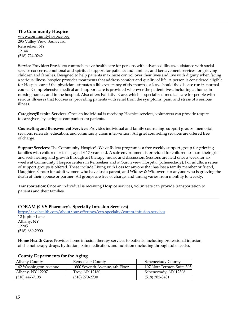## **The Community Hospice**

www.communityhospice.org 295 Valley View Boulevard Rensselaer, NY 12144 (518) 724-0242

**Service Provider:** Providers comprehensive health care for persons with advanced illness, assistance with social service concerns, emotional and spiritual support for patients and families, and bereavement services for grieving children and families. Designed to help patients maximize control over their lives and live with dignity when facing a serious illness, hospice provides treatments that address comfort and quality of life. A person is considered eligible for Hospice care if the physician estimates a life expectancy of six months or less, should the disease run its normal course. Comprehensive medical and support care is provided wherever the patient lives, including at home, in nursing homes, and in the hospital. Also offers Palliative Care, which is specialized medical care for people with serious illnesses that focuses on providing patients with relief from the symptoms, pain, and stress of a serious illness.

**Caregiver/Respite Services:** Once an individual is receiving Hospice services, volunteers can provide respite to caregivers by acting as companions to patients.

**Counseling and Bereavement Services:** Provides individual and family counseling, support groups, memorial services, referrals, education, and community crisis intervention. All grief counseling services are offered free of charge.

**Support Services:** The Community Hospice's Wave Riders program is a free weekly support group for grieving families with children or teens, aged 3-17 years old. A safe environment is provided for children to share their grief and seek healing and growth through art therapy, music and discussion. Sessions are held once a week for six weeks at Community Hospice centers in Rensselaer and at Sunnyview Hospital (Schenectady). For adults, a series of support groups is offered. These include Living with Loss for anyone that has lost a family member or friend, Daughters.Group for adult women who have lost a parent, and Widow & Widowers for anyone who is grieving the death of their spouse or partner. All groups are free of charge, and timing varies from monthly to weekly.

**Transportation:** Once an individual is receiving Hospice services, volunteers can provide transportation to patients and their families.

#### **CORAM (CVS Pharmacy's Specialty Infusion Services)**

https://cvshealth.com/about/our-offerings/cvs-specialty/coram-infusion-services 12 Jupiter Lane Albany, NY 12205 (518) 689-2900

**Home Health Care:** Provides home infusion therapy services to patients, including professional infusion of chemotherapy drugs, hydration, pain medication, and nutrition (including through tube feeds).

| $\sim$                |                                |                             |
|-----------------------|--------------------------------|-----------------------------|
| Albany County         | Rensselaer County              | <b>Schenectady County</b>   |
| 162 Washington Avenue | 1600 Seventh Avenue, 4th Floor | 107 Nott Terrace, Suite 305 |
| Albany, NY 12207      | Troy, NY 12180                 | Schenectady, NY 12308       |
| $(518)$ 447-7198      | $(518)$ 270-2730               | $(518)$ 382-8481            |

#### **County Departments for the Aging**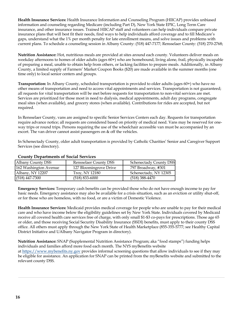**Health Insurance Services:** Health Insurance Information and Counseling Program (HIICAP) provides unbiased information and counseling regarding Medicare (including Part D), New York State EPIC, Long Term Care insurance, and other insurance issues. Trained HIICAP staff and volunteers can help individuals compare private insurance plans that will best fit their needs, find ways to help individuals afford coverage and to fill Medicare's gaps, understand what the 1% per month penalty for late enrollment means, and solve issues and problems with current plans. To schedule a counseling session in Albany County: (518) 447-7177; Rensselaer County: (518) 270-2768;

**Nutrition Assistance:** Hot, nutritious meals are provided at sites around each county. Volunteers deliver meals on weekday afternoons to homes of older adults (ages 60+) who are homebound, living alone, frail, physically incapable of preparing a meal, unable to obtain help from others, or lacking facilities to prepare meals. Additionally, in Albany County, a limited supply of Farmers' Market Coupon Books (\$20) are made available in the summer months (one time only) to local senior centers and groups.

**Transportation:** In Albany County, scheduled transportation is provided to older adults (ages 60+) who have no other means of transportation and need to access vital appointments and services. Transportation is not guaranteed; all requests for vital transportation will be met before requests for transportation to non-vital services are met. Services are prioritized for those most in need to dialysis, medical appointments, adult day programs, congregate meal sites (when available), and grocery stores (when available). Contributions for rides are accepted, but not required.

In Rensselaer County, vans are assigned to specific Senior Services Centers each day. Requests for transportation require advance notice; all requests are considered based on priority of medical need. Vans may be reserved for oneway trips or round trips. Persons requiring the use of the wheelchair accessible van must be accompanied by an escort. The van driver cannot assist passengers on & off the vehicles.

In Schenectady County, older adult transportation is provided by Catholic Charities' Senior and Caregiver Support Services (see directory).

#### **County Departments of Social Services**

| <b>Albany County DSS</b> | <b>Rensselaer County DSS</b> | <b>Schenectady County DSS</b> |
|--------------------------|------------------------------|-------------------------------|
| 162 Washington Avenue    | 127 Bloomingrove Drive       | 797 Broadway, #301            |
| Albany, NY 12207         | Troy, NY 12180               | Schenectady, NY 12305         |
| $(518)$ 447-7300         | $(518) 833 - 6000$           | $(518)$ 388-4470              |

**Emergency Services:** Temporary cash benefits can be provided those who do not have enough income to pay for basic needs. Emergency assistance may also be available for a crisis situation, such as an eviction or utility shut-off, or for those who are homeless, with no food, or are a victim of Domestic Violence.

**Health Insurance Services:** Medicaid provides medical coverage for people who are unable to pay for their medical care and who have income below the eligibility guidelines set by New York State. Individuals covered by Medicaid receive all covered health care services free of charge, with only small \$1-\$3 co-pays for prescriptions. Those age 65 or older, and those receiving Social Security Disability Insurance (SSDI) benefits, must apply to their county DSS office. All others must apply through the New York State of Health Marketplace (855-355-5777; see Healthy Capital District Initiative and UAlbany Navigator Program in directory).

**Nutrition Assistance:** SNAP (Supplemental Nutrition Assistance Program; aka "food stamps") funding helps individuals and families afford more food each month. The NYS myBenefits website at https://www.mybenefits.ny.gov provides informal screening questions that allow individuals to see if they may be eligible for assistance. An application for SNAP can be printed from the myBenefits website and submitted to the relevant county DSS.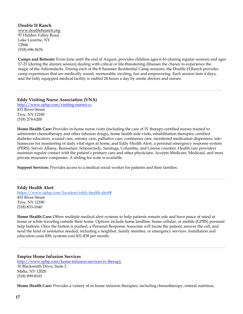**Double H Ranch** www.doublehranch.org 97 Hidden Valley Road Lake Luzerne, NY 12846 (518) 696-5676

**Camps and Retreats:** From June until the end of August, provides children ages 6-16 (during regular session) and ages 17-21 (during the alumni session) dealing with critical or life-threatening illnesses the chance to experience the magic of the Adirondacks. During each of the 8 Summer Residential Camp sessions, the Double H Ranch provides camp experiences that are medically sound, memorable, exciting, fun and empowering. Each session lasts 6 days, and the fully equipped medical facility is staffed 24 hours a day by onsite doctors and nurses.

**Eddy Visiting Nurse Association (VNA)**

http://www.sphp.com/visiting-nurses-cc 433 River Street Troy, NY 12180 (518) 274-6200

**Home Health Care:** Provides in-home nurse visits (including the care of IV therapy-certified nurses trained to administer chemotherapy and other infusion drugs), home health aide visits, rehabilitation therapies, certified diabetes educators, wound care, ostomy care, palliative care, continence care, monitored medication dispensers, telehomecare for monitoring of daily vital signs at home, and Eddy Health Alert, a personal emergency response system (PERS). Serves Albany, Rensselaer, Schenectady, Saratoga, Columbia, and Greene counties. Health care providers maintain regular contact with the patient's primary care and other physicians. Accepts Medicare, Medicaid, and most private insurance companies. A sliding fee scale is available.

**Support Services:** Provides access to a medical social worker for patients and their families.

**Eddy Health Alert** https://www.sphp.com/location/eddy-health-alert# 433 River Street Troy, NY 12180 (518) 833-1040

**Home Health Care:** Offers multiple medical alert systems to help patients remain safe and have peace of mind at home or while traveling outside their home. Options include home landline, home cellular, or mobile (GPRS) personal help buttons. Once the button is pushed, a Personal Response Associate will locate the patient, answer the call, and send the kind of assistance needed, including a neighbor, family member, or emergency services. Installation and education costs \$30; systems cost \$31-\$38 per month.

**Empire Home Infusion Services** http://www.sphp.com/home-infusion-services-iv-therapy 10 Blacksmith Drive, Suite 2 Malta, NY 12020 (518) 899-8103

**Home Health Care:** Provides a variety of in-home infusion therapies, including chemotherapy, enteral nutrition,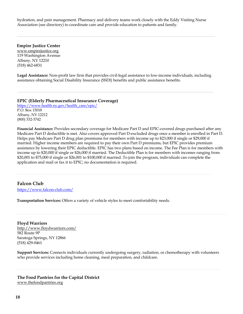hydration, and pain management. Pharmacy and delivery teams work closely with the Eddy Visiting Nurse Association (see directory) to coordinate care and provide education to patients and family.

 **Empire Justice Center** www.empirejustice.org 119 Washington Avenue Albany, NY 12210 (518) 462-6831

**Legal Assistance:** Non-profit law firm that provides civil-legal assistance to low-income individuals, including assistance obtaining Social Disability Insurance (SSDI) benefits and public assistance benefits.

**EPIC (Elderly Pharmaceutical Insurance Coverage)** https://www.health.ny.gov/health\_care/epic/ P.O. Box 15018 Albany, NY 12212 (800) 332-3742

**Financial Assistance:** Provides secondary coverage for Medicare Part D and EPIC-covered drugs purchased after any Medicare Part D deductible is met. Also covers approved Part D-excluded drugs once a member is enrolled in Part D. Helps pay Medicare Part D drug plan premiums for members with income up to \$23,000 if single or \$29,000 if married. Higher income members are required to pay their own Part D premiums, but EPIC provides premium assistance by lowering their EPIC deductible. EPIC has two plans based on income. The Fee Plan is for members with income up to \$20,000 if single or \$26,000 if married. The Deductible Plan is for members with incomes ranging from \$20,001 to \$75,000 if single or \$26,001 to \$100,000 if married. To join the program, individuals can complete the application and mail or fax it to EPIC; no documentation is required.

 **Falcon Club** https://www.falcon-club.com/

**Transportation Services:** Offers a variety of vehicle styles to meet comfortability needs.

**Floyd Warriors** http://www.floydwarriors.com/ 582 Route 9P Saratoga Springs, NY 12866 (518) 429-0461

**Support Services:** Connects individuals currently undergoing surgery, radiation, or chemotherapy with volunteers who provide services including home cleaning, meal preparation, and childcare.

**The Food Pantries for the Capital District** www.thefoodpantries.org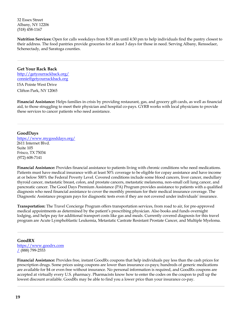32 Essex Street Albany, NY 12206 (518) 458-1167

**Nutrition Services:** Open for calls weekdays from 8:30 am until 4:30 pm to help individuals find the pantry closest to their address. The food pantries provide groceries for at least 3 days for those in need. Serving Albany, Rensselaer, Schenectady, and Saratoga counties.

**Get Your Rack Back**  http://getyourrackback.org/ connie@getyourrackback.org 15A Pointe West Drive Clifton Park, NY 12065

**Financial Assistance:** Helps families in crisis by providing restaurant, gas, and grocery gift cards, as well as financial aid, to those struggling to meet their physician and hospital co-pays. GYRB works with local physicians to provide these services to cancer patients who need assistance.

#### **GoodDays**

https://www.mygooddays.org/ 2611 Internet Blvd. Suite 105 Frisco, TX 75034 (972) 608-7141

**Financial Assistance:** Provides financial assistance to patients living with chronic conditions who need medications. Patients must have medical insurance with at least 50% coverage to be eligible for copay assistance and have income at or below 500% the Federal Poverty Level. Covered conditions include some blood cancers, liver cancer, medullary thyroid cancer, metastatic breast, colon, and prostate cancers, metastatic melanoma, non-small cell lung cancer, and pancreatic cancer. The Good Days Premium Assistance (PA) Program provides assistance to patients with a qualified diagnosis who need financial assistance to cover the monthly premium for their medical insurance coverage. The Diagnostic Assistance program pays for diagnostic tests even if they are not covered under individuals' insurance.

**Transportation:** The Travel Concierge Program offers transportation services, from road to air, for pre-approved medical appointments as determined by the patient's prescribing physician. Also books and funds overnight lodging, and helps pay for additional transport costs like gas and meals. Currently covered diagnosis for this travel program are Acute Lymphoblastic Leukemia, Metastatic Castrate Resistant Prostate Cancer, and Multiple Myeloma.

#### **GoodRX**

https://www.goodrx.com  $(888)$  799-2553

**Financial Assistance:** Provides free, instant GoodRx coupons that help individuals pay less than the cash prices for prescription drugs. Some prices using coupons are lower than insurance co-pays; hundreds of generic medications are available for \$4 or even free without insurance. No personal information is required, and GoodRx coupons are accepted at virtually every U.S. pharmacy. Pharmacists know how to enter the codes on the coupon to pull up the lowest discount available. GoodRx may be able to find you a lower price than your insurance co-pay.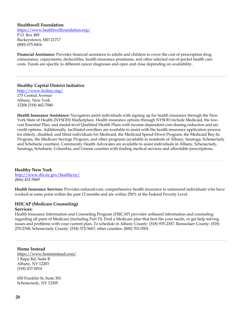#### **Healthwell Foundation**

https://www.healthwellfoundation.org/ P.O. Box 489 Buckeystown, MD 21717 (800) 675-8416

**Financial Assistance:** Provides financial assistance to adults and children to cover the cost of prescription drug coinsurance, copayments, deductibles, health insurance premiums, and other selected out-of-pocket health care costs. Funds are specific to different cancer diagnoses and open and close depending on availability.

**Healthy Capital District Initiative** http://www.hcdiny.org/ 175 Central Avenue Albany, New York 12206 (518) 462-7040

**Health Insurance Assistance:** Navigators assist individuals with signing up for health insurance through the New York State of Health (NYSOH) Marketplace. Health insurance options through NYSOH include Medicaid, the lowcost Essential Plan, and medal-level Qualified Health Plans with income-dependent cost-sharing reduction and tax credit options. Additionally, facilitated enrollees are available to assist with the health insurance application process for elderly, disabled, and blind individuals for Medicaid, the Medicaid Spend-Down Program, the Medicaid Buy-In Program, the Medicare Savings Program, and other programs (available to residents of Albany, Saratoga, Schenectady and Schoharie counties). Community Health Advocates are available to assist individuals in Albany, Schenectady, Saratoga, Schoharie, Columbia, and Greene counties with finding medical services and affordable prescriptions.

#### **Healthy New York**

http://www.dfs.ny.gov/healthyny/ (866) 432-5849

**Health Insurance Services:** Provides reduced-cost, comprehensive health insurance to uninsured individuals who have worked at some point within the past 12 months and are within 250% of the Federal Poverty Level.

## **HIICAP (Medicare Counseling)**

#### **Services:**

Health Insurance Information and Counseling Program (HIICAP) provides unbiased information and counseling regarding all parts of Medicare (including Part D). Find a Medicare plan that best fits your needs, or get help solving issues and problems with your current plan. To schedule in Albany County: (518) 935-2307; Rensselaer County: (518) 270-2768; Schenectady County: (518) 372-5667; other counties: (800) 701-0501.

**Home Instead**

https://www.homeinstead.com/ 1 Rapp Rd, Suite B Albany, NY 12203 (518) 437-0014

650 Franklin St, Suite 301 Schenectady, NY 12305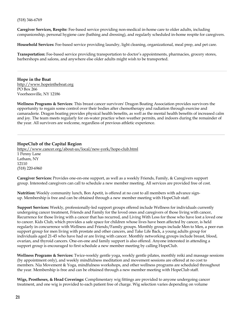#### (518) 346-6769

**Caregiver Services, Respite***:* Fee-based service providing non-medical in-home care to older adults, including companionship, personal hygiene care (bathing and dressing), and regularly scheduled in-home respite for caregivers.

**Household Services:** Fee-based service providing laundry, light cleaning, organizational, meal prep, and pet care.

**Transportation:** Fee-based service providing transportation to doctor's appointments, pharmacies, grocery stores, barbershops and salons, and anywhere else older adults might wish to be transported.

**Hope in the Boat**  http://www.hopeintheboat.org PO Box 266 Voorheesville, NY 12186

**Wellness Programs & Services**: This breast cancer survivors' Dragon Boating Association provides survivors the opportunity to regain some control over their bodies after chemotherapy and radiation through exercise and camaraderie. Dragon boating provides physical health benefits, as well as the mental health benefits of increased calm and joy. The team meets regularly for on-water practice when weather permits, and indoors during the remainder of the year. All survivors are welcome, regardless of previous athletic experience.

#### **HopeClub of the Capital Region**

https://www.cancer.org/about-us/local/new-york/hope-club.html 1 Penny Lane Latham, NY 12110 (518) 220-6960

**Caregiver Services:** Provides one-on-one support, as well as a weekly Friends, Family, & Caregivers support group. Interested caregivers can call to schedule a new member meeting. All services are provided free of cost.

**Nutrition:** Weekly community lunch, Bon Apetit, is offered at no cost to all members with advance signup. Membership is free and can be obtained through a new member meeting with HopeClub staff.

**Support Services:** Weekly, professionally-led support groups offered include Wellness for individuals currently undergoing cancer treatment, Friends and Family for the loved ones and caregivers of those living with cancer, Recurrence for those living with a cancer that has recurred, and Living With Loss for those who have lost a loved one to cancer. Kids Club, which provides a safe space for children whose lives have been affected by cancer, is held regularly in concurrence with Wellness and Friends/Family groups. Monthly groups include Men to Men, a peer-run support group for men living with prostate and other cancers, and Take Life Back, a young adults group for individuals aged 21-45 who have had or are living with cancer. Monthly networking groups include breast, blood, ovarian, and thyroid cancers. One-on-one and family support is also offered. Anyone interested in attending a support group is encouraged to first schedule a new member meeting by calling HopeClub.

**Wellness Programs & Services:** Twice-weekly gentle yoga, weekly gentle pilates, monthly reiki and massage sessions (by appointment only), and weekly mindfulness meditation and movement sessions are offered at no cost to members. Nia Movement & Yoga, mindfulness workshops, and other wellness programs are scheduled throughout the year. Membership is free and can be obtained through a new member meeting with HopeClub staff.

**Wigs, Prostheses, & Head Coverings:** Complimentary wig fittings are provided to anyone undergoing cancer treatment, and one wig is provided to each patient free of charge. Wig selection varies depending on volume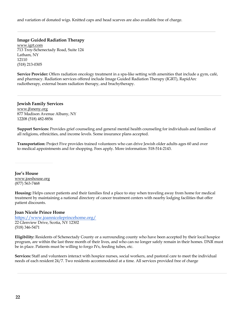and variation of donated wigs. Knitted caps and head scarves are also available free of charge.

**Image Guided Radiation Therapy** www.igrt.com 713 Troy-Schenectady Road, Suite 124 Latham, NY 12110 (518) 213-0305

**Service Provider:** Offers radiation oncology treatment in a spa-like setting with amenities that include a gym, café, and pharmacy. Radiation services offered include Image Guided Radiation Therapy (IGRT), RapidArc radiotherapy, external beam radiation therapy, and brachytherapy.

**Jewish Family Services** www.jfsneny.org 877 Madison Avenue Albany, NY 12208 (518) 482-8856

**Support Services:** Provides grief counseling and general mental health counseling for individuals and families of all religions, ethnicities, and income levels. Some insurance plans accepted.

**Transportation:** Project Five provides trained volunteers who can drive Jewish older adults ages 60 and over to medical appointments and for shopping. Fees apply. More information: 518-514-2143.

**Joe's House**  www.joeshouse.org (877) 563-7468

**Housing:** Helps cancer patients and their families find a place to stay when traveling away from home for medical treatment by maintaining a national directory of cancer treatment centers with nearby lodging facilities that offer patient discounts.

#### **Joan Nicole Prince Home**

https://www.joannicoleprincehome.org/ 22 Glenview Drive, Scotia, NY 12302 (518) 346-5471

**Eligibility:** Residents of Schenectady County or a surrounding county who have been accepted by their local hospice program, are within the last three month of their lives, and who can no longer safely remain in their homes. DNR must be in place. Patients must be willing to forgo IVs, feeding tubes, etc.

**Services:** Staff and volunteers interact with hospice nurses, social workers, and pastoral care to meet the individual needs of each resident 24/7. Two residents accommodated at a time. All services provided free of charge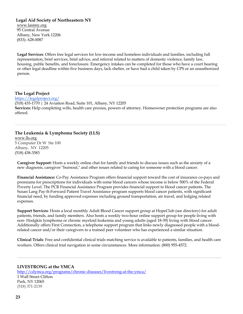**Legal Aid Society of Northeastern NY**

www.lasnny.org 95 Central Avenue Albany, New York 12206 (833)- 628-0087

**Legal Services**: Offers free legal services for low-income and homeless individuals and families, including full representation, brief services, brief advice, and referral related to matters of domestic violence, family law, housing, public benefits, and foreclosure. Emergency intakes can be completed for those who have a court hearing or other legal deadline within five business days, lack shelter, or have had a child taken by CPS or an unauthorized person.

**The Legal Project** https://legalproject.org/ (518) 435-1770 | 24 Aviation Road, Suite 101, Albany, NY 12205 **Services:** Help completing wills, health care proxies, powers of attorney. Homeowner protection programs are also offered.

**The Leukemia & Lymphoma Society (LLS)** www.lls.org

5 Computer Dr W Ste 100 Albany, NY 12205 (518) 438-3583

**Caregiver Support:** Hosts a weekly online chat for family and friends to discuss issues such as the anxiety of a new diagnosis, caregiver "burnout," and other issues related to caring for someone with a blood cancer.

**Financial Assistance:** Co-Pay Assistance Program offers financial support toward the cost of insurance co-pays and premiums for prescriptions for individuals with some blood cancers whose income is below 500% of the Federal Poverty Level. The PCR Financial Assistance Program provides financial support to blood cancer patients. The Susan Lang Pay-It-Forward Patient Travel Assistance program supports blood cancer patients, with significant financial need, by funding approved expenses including ground transportation, air travel, and lodging related expenses.

**Support Services**: Hosts a local monthly Adult Blood Cancer support group at HopeClub (see directory) for adult patients, friends, and family members. Also hosts a weekly two-hour online support group for people living with non- Hodgkin lymphoma or chronic myeloid leukemia and young adults (aged 18-39) living with blood cancer. Additionally offers First Connection, a telephone support program that links newly diagnosed people with a bloodrelated cancer and/or their caregivers to a trained peer volunteer who has experienced a similar situation.

**Clinical Trials**: Free and confidential clinical trials matching service is available to patients, families, and health care workers. Offers clinical trial navigation in some circumstances. More information: (800) 955-4572.

#### **LIVESTRONG at the YMCA**

http://cdymca.org/programs/chronic-diseases/livestrong-at-the-ymca/ 1 Wall Street Clifton Park, NY 12065 (518) 371-2139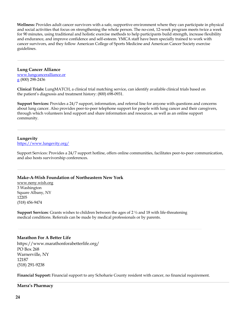**Wellness:** Provides adult cancer survivors with a safe, supportive environment where they can participate in physical and social activities that focus on strengthening the whole person. The no-cost, 12-week program meets twice a week for 90 minutes, using traditional and holistic exercise methods to help participants build strength, increase flexibility and endurance, and improve confidence and self-esteem. YMCA staff have been specially trained to work with cancer survivors, and they follow American College of Sports Medicine and American Cancer Society exercise guidelines.

#### **Lung Cancer Alliance**

www.lungcanceralliance.or  $g(800)$  298-2436

**Clinical Trials:** LungMATCH, a clinical trial matching service, can identify available clinical trials based on the patient's diagnosis and treatment history: (800) 698-0931.

**Support Services:** Provides a 24/7 support, information, and referral line for anyone with questions and concerns about lung cancer. Also provides peer-to-peer telephone support for people with lung cancer and their caregivers, through which volunteers lend support and share information and resources, as well as an online support community.

#### **Lungevity**

https://www.lungevity.org/

Support Services: Provides a 24/7 support hotline, offers online communities, facilitates peer-to-peer communication, and also hosts survivorship conferences.

#### **Make-A-Wish Foundation of Northeastern New York**

www.neny.wish.org 3 Washington Square Albany, NY 12205 (518) 456-9474

**Support Services**: Grants wishes to children between the ages of 2 ½ and 18 with life-threatening medical conditions. Referrals can be made by medical professionals or by parents.

#### **Marathon For A Better Life**

https://www.marathonforabetterlife.org/ PO Box 268 Warnerville, NY 12187 (518) 291-9238

**Financial Support:** Financial support to any Schoharie County resident with cancer, no financial requirement.

#### **Marra's Pharmacy**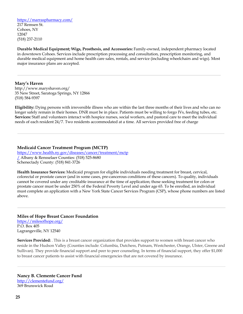https://marraspharmacy.com/

217 Remsen St. Cohoes, NY 12047 (518) 237-2110

**Durable Medical Equipment; Wigs, Prosthesis, and Accessories:** Family-owned, independent pharmacy located in downtown Cohoes. Services include prescription processing and consultation, prescription monitoring, and durable medical equipment and home health care sales, rentals, and service (including wheelchairs and wigs). Most major insurance plans are accepted.

#### **Mary's Haven**

http://www.maryshaven.org/ 35 New Street, Saratoga Springs, NY 12866 (518) 584-9397

**Eligibility:** Dying persons with irreversible illness who are within the last three months of their lives and who can no longer safely remain in their homes. DNR must be in place. Patients must be willing to forgo IVs, feeding tubes, etc. **Services:** Staff and volunteers interact with hospice nurses, social workers, and pastoral care to meet the individual needs of each resident 24/7. Two residents accommodated at a time. All services provided free of charge

**Medicaid Cancer Treatment Program (MCTP)**  https://www.health.ny.gov/diseases/cancer/treatment/mctp / Albany & Rensselaer Counties: (518) 525-8680 Schenectady County: (518) 841-3726

**Health Insurance Services:** Medicaid program for eligible individuals needing treatment for breast, cervical, colorectal or prostate cancer (and in some cases, pre-cancerous conditions of these cancers). To quality, individuals cannot be covered under any creditable insurance at the time of application; those seeking treatment for colon or prostate cancer must be under 250% of the Federal Poverty Level and under age 65. To be enrolled, an individual must complete an application with a New York State Cancer Services Program (CSP), whose phone numbers are listed above.

### **Miles of Hope Breast Cancer Foundation**

https://milesofhope.org/ P.O. Box 405 Lagrangeville, NY 12540

**Services Provided:** . This is a breast cancer organization that provides support to women with breast cancer who reside in the Hudson Valley (Counties include: Columbia, Dutchess, Putnam, Westchester, Orange, Ulster, Greene and Sullivan). They provide financial support and peer to peer counseling. In terms of financial support, they offer \$1,000 to breast cancer patients to assist with financial emergencies that are not covered by insurance.

#### **Nancy B. Clemente Cancer Fund** http://clementefund.org/

369 Brunswick Road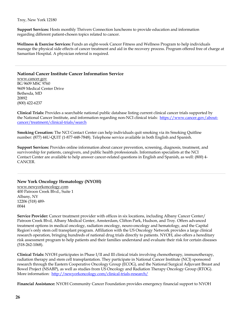Troy, New York 12180

**Support Services:** Hosts monthly Thrivers Connection luncheons to provide education and information regarding different patient-chosen topics related to cancer.

**Wellness & Exercise Services:** Funds an eight-week Cancer Fitness and Wellness Program to help individuals manage the physical side effects of cancer treatment and aid in the recovery process. Program offered free of charge at Samaritan Hospital. A physician referral is required.

#### **National Cancer Institute Cancer Information Service**

www.cancer.gov BG 9609 MSC 9760 9609 Medical Center Drive Bethesda, MD 20892 (800) 422-6237

**Clinical Trials:** Provides a searchable national public database listing current clinical cancer trials supported by the National Cancer Institute, and information regarding non-NCI clinical trials: https://www.cancer.gov/aboutcancer/treatment/clinical-trials/search

**Smoking Cessation:** The NCI Contact Center can help individuals quit smoking via its Smoking Quitline number: (877) 44U-QUIT (1-877-448-7848). Telephone service available in both English and Spanish.

**Support Services:** Provides online information about cancer prevention, screening, diagnosis, treatment, and survivorship for patients, caregivers, and public health professionals. Information specialists at the NCI Contact Center are available to help answer cancer-related questions in English and Spanish, as well: (800) 4- CANCER.

### **New York Oncology Hematology (NYOH)**

www.newyorkoncology.com 400 Patroon Creek Blvd., Suite 1 Albany, NY 12206 (518) 489- 0044

**Service Provider:** Cancer treatment provider with offices in six locations, including Albany Cancer Center/ Patroon Creek Blvd, Albany Medical Center, Amsterdam, Clifton Park, Hudson, and Troy. Offers advanced treatment options in medical oncology, radiation oncology, neuro-oncology and hematology, and the Capital Region's only stem cell transplant program. Affiliation with the US Oncology Network provides a large clinical research operation, bringing hundreds of national drug trials directly to patients. NYOH, also offers a hereditary risk assessment program to help patients and their families understand and evaluate their risk for certain diseases (518-262-1068).

**Clinical Trials:** NYOH participates in Phase I/II and III clinical trials involving chemotherapy, immunotherapy, radiation therapy and stem cell transplantation. They participate in National Cancer Institute (NCI) sponsored research through the Eastern Cooperative Oncology Group (ECOG), and the National Surgical Adjuvant Breast and Bowel Project (NSABP), as well as studies from US Oncology and Radiation Therapy Oncology Group (RTOG). More information: http://newyorkoncology.com/clinical-trials-research/

**Financial Assistance:** NYOH Community Cancer Foundation provides emergency financial support to NYOH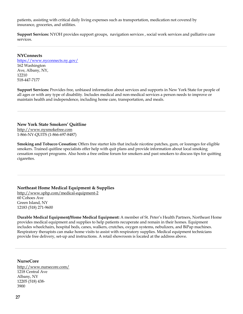patients, assisting with critical daily living expenses such as transportation, medication not covered by insurance, groceries, and utilities.

**Support Services:** NYOH provides support groups, navigation services , social work services and palliative care services.

#### **NYConnects**

https://www.nyconnects.ny.gov/ 162 Washington Ave, Albany, NY, 12210 518-447-7177

**Support Services:** Provides free, unbiased information about services and supports in New York State for people of all ages or with any type of disability. Includes medical and non-medical services a person needs to improve or maintain health and independence, including home care, transportation, and meals.

#### **New York State Smokers' Quitline**

http://www.nysmokefree.com 1-866-NY-QUITS (1-866-697-8487)

**Smoking and Tobacco Cessation:** Offers free starter kits that include nicotine patches, gum, or lozenges for eligible smokers. Trained quitline specialists offer help with quit plans and provide information about local smoking cessation support programs. Also hosts a free online forum for smokers and past smokers to discuss tips for quitting cigarettes.

#### **Northeast Home Medical Equipment & Supplies**

http://www.sphp.com/medical-equipment-2 60 Cohoes Ave Green Island, NY 12183 (518) 271-9600

**Durable Medical Equipment/Home Medical Equipment:** A member of St. Peter's Health Partners, Northeast Home provides medical equipment and supplies to help patients recuperate and remain in their homes. Equipment includes wheelchairs, hospital beds, canes, walkers, crutches, oxygen systems, nebulizers, and BiPap machines. Respiratory therapists can make home visits to assist with respiratory supplies. Medical equipment technicians provide free delivery, set-up and instructions. A retail showroom is located at the address above.

#### **NurseCore**

http://www.nursecore.com/ 1218 Central Ave Albany, NY 12205 (518) 438- 3900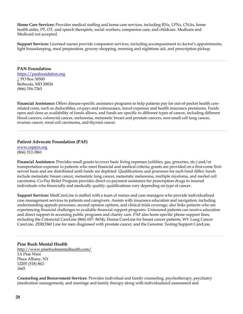**Home Care Services:** Provides medical staffing and home care services, including RNs, LPNs, CNAs, home health aides, PT, OT, and speech therapists, social workers, companion care, and childcare. Medicare and Medicaid not accepted.

**Support Services:** Licensed nurses provide companion services, including accompaniment to doctor's appointments, light housekeeping, meal preparation, grocery shopping, morning and nighttime aid, and prescription pickup.

**PAN Foundation**  https://panfoundation.org / PO Box 30500 Bethesda, MD 20824 (866) 316-7263

**Financial Assistance:** Offers disease-specific assistance programs to help patients pay for out-of-pocket health carerelated costs, such as deductibles, co-pays and coinsurance, travel expenses and health insurance premiums. Funds open and close as availability of funds allows, and funds are specific to different types of cancer, including different blood cancers, colorectal cancer, melanoma, metastatic breast and prostate cancers, non-small cell lung cancer, ovarian cancer, renal cell carcinoma, and thyroid cancer.

#### **Patient Advocate Foundation (PAF)**

www.copays.org (866) 512-3861

**Financial Assistance:** Provides small grants to cover basic living expenses (utilities, gas, groceries, etc.) and/or transportation expenses to patients who meet financial and medical criteria; grants are provided on a first-come firstserved basis and are distributed until funds are depleted. Qualifications and processes for each fund differ; funds include metastatic breast cancer, metastatic lung cancer, metastatic melanoma, multiple myeloma, and merkel cell carcinoma. Co-Pay Relief Program provides direct co-payment assistance for prescription drugs to insured individuals who financially and medically qualify; qualifications vary depending on type of cancer.

**Support Services:** MedCareLine is staffed with a team of nurses and case managers who provide individualized case management services to patients and caregivers. Assists with insurance education and navigation, including understanding appeals processes, second opinion options, and clinical trials coverage; also links patients who are experiencing financial challenges to available financial support programs. Uninsured patients can receive education and direct support in accessing public programs and charity care. PAF also hosts specific phone support lines, including the Colorectal CareLine (866) 657- 8634), Donna CareLine for breast cancer patients, WV Lung Cancer CareLine, ZERO360 Line for men diagnosed with prostate cancer, and the Genomic Testing Support CareLine.

**Pine Bush Mental Health** http://www.pinebushmentalhealth.com/ 1A Pine West Plaza Albany, NY 12205 (518) 862- 1665

**Counseling and Bereavement Services**: Provides individual and family counseling, psychotherapy, psychiatry (medication management), and marriage and family therapy along with individualized assessment and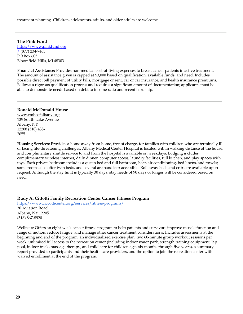treatment planning. Children, adolescents, adults, and older adults are welcome.

**The Pink Fund**  https://www.pinkfund.org  $(877)$  234-7465 PO Box 603 Bloomfield Hills, MI 48303

**Financial Assistance:** Provides non-medical cost-of-living expenses to breast cancer patients in active treatment. The amount of assistance given is capped at \$3,000 based on qualification, available funds, and need. Includes possible direct bill payment of utility bills, mortgage or rent, car or car insurance, and health insurance premiums. Follows a rigorous qualification process and requires a significant amount of documentation; applicants must be able to demonstrate needs based on debt to income ratio and recent hardship.

#### **Ronald McDonald House**

www.rmhcofalbany.org 139 South Lake Avenue Albany, NY 12208 (518) 438- 2655

**Housing Services:** Provides a home away from home, free of charge, for families with children who are terminally ill or facing life-threatening challenges. Albany Medical Center Hospital is located within walking distance of the house, and complimentary shuttle service to and from the hospital is available on weekdays. Lodging includes complimentary wireless internet, daily dinner, computer access, laundry facilities, full kitchen, and play spaces with toys. Each private bedroom includes a queen bed and full bathroom, heat, air conditioning, bed linens, and towels; some rooms also offer twin beds, and several are handicap-accessible. Roll-away beds and cribs are available upon request. Although the stay limit is typically 30 days, stay needs of 90 days or longer will be considered based on need.

**Rudy A. Cittotti Family Recreation Center Cancer Fitness Program**

https://www.ciccotticenter.org/services/fitness-programs/ 30 Aviation Road Albany, NY 12205 (518) 867-8920

Wellness: Offers an eight-week cancer fitness program to help patients and survivors improve muscle function and range of motion, reduce fatigue, and manage other cancer treatment considerations. Includes assessments at the beginning and end of the program, an individualized exercise plan, two 60-minute group workout sessions per week, unlimited full access to the recreation center (including indoor water park, strength training equipment, lap pool, indoor track, massage therapy, and child care for children ages six months through five years), a summary report provided to participants and their health care providers, and the option to join the recreation center with waived enrollment at the end of the program.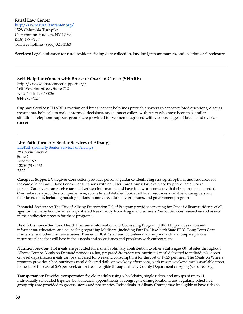**Rural Law Center** http://www.rurallawcenter.org/ 1528 Columbia Turnpike Castleton-on-Hudson, NY 12033 (518) 477-7137 Toll free hotline - (866)-324-1183

**Services:** Legal assistance for rural residents facing debt collection, landlord/tenant matters, and eviction or foreclosure

#### **Self-Help for Women with Breast or Ovarian Cancer (SHARE)**

https://www.sharecancersupport.org/ 165 West 46th Street, Suite 712 New York, NY 10036 844-275-7427

**Support Services:** SHARE's ovarian and breast cancer helplines provide answers to cancer-related questions, discuss treatments, help callers make informed decisions, and connect callers with peers who have been in a similar situation. Telephone support groups are provided for women diagnosed with various stages of breast and ovarian cancer.

#### **Life Path (formerly Senior Services of Albany)**

LifePath (formerly Senior Services of Albany) | 28 Colvin Avenue Suite 2 Albany, NY 12206 (518) 465- 3322

**Caregiver Support:** Caregiver Connection provides personal guidance identifying strategies, options, and resources for the care of older adult loved ones. Consultations with an Elder Care Counselor take place by phone, email, or in person. Caregivers can receive targeted written information and have follow-up contact with their counselor as needed. Counselors can provide a comprehensive, accurate, and detailed look at all local resources available to caregivers and their loved ones, including housing options, home care, adult day programs, and government programs.

**Financial Assistance:** The City of Albany Prescription Relief Program provides screening for City of Albany residents of all ages for the many brand-name drugs offered free directly from drug manufacturers. Senior Services researches and assists in the application process for these programs.

**Health Insurance Services:** Health Insurance Information and Counseling Program (HIICAP) provides unbiased information, education, and counseling regarding Medicare (including Part D), New York State EPIC, Long Term Care insurance, and other insurance issues. Trained HIICAP staff and volunteers can help individuals compare private insurance plans that will best fit their needs and solve issues and problems with current plans.

**Nutrition Services:** Hot meals are provided for a small voluntary contribution to older adults ages 60+ at sites throughout Albany County. Meals on Demand provides a hot, prepared-from-scratch, nutritious meal delivered to individuals' doors on weekdays (frozen meals can be delivered for weekend consumption) for the cost of \$7.25 per meal. The Meals on Wheels program provides a hot, nutritious meal delivered daily on weekday afternoons, with frozen weekend meals available upon request, for the cost of \$36 per week or for free if eligible through Albany County Department of Aging (see directory).

**Transportation:** Provides transportation for older adults using wheelchairs, single riders, and groups of up to 11. Individually scheduled trips can be to medical appointments or congregate dining locations, and regularly scheduled group trips are provided to grocery stores and pharmacies. Individuals in Albany County may be eligible to have rides to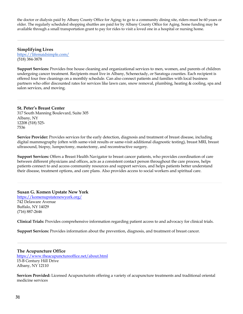the doctor or dialysis paid by Albany County Office for Aging; to go to a community dining site, riders must be 60 years or older. The regularly scheduled shopping shuttles are paid for by Albany County Office for Aging. Some funding may be available through a small transportation grant to pay for rides to visit a loved one in a hospital or nursing home.

**Simplifying Lives** https://lifemaidsimple.com/ (518) 384-3878

**Support Services:** Provides free house cleaning and organizational services to men, women, and parents of children undergoing cancer treatment. Recipients must live in Albany, Schenectady, or Saratoga counties. Each recipient is offered four free cleanings on a monthly schedule. Can also connect patients and families with local business partners who offer discounted rates for services like lawn care, snow removal, plumbing, heating & cooling, spa and salon services, and moving.

#### **St. Peter's Breast Center**

317 South Manning Boulevard, Suite 305 Albany, NY 12208 (518) 525- 7536

**Service Provider:** Provides services for the early detection, diagnosis and treatment of breast disease, including digital mammography (often with same-visit results or same-visit additional diagnostic testing), breast MRI, breast ultrasound, biopsy, lumpectomy, mastectomy, and reconstructive surgery.

**Support Services:** Offers a Breast Health Navigator to breast cancer patients, who provides coordination of care between different physicians and offices, acts as a consistent contact person throughout the care process, helps patients connect to and access community resources and support services, and helps patients better understand their disease, treatment options, and care plans. Also provides access to social workers and spiritual care.

#### **Susan G. Komen Upstate New York**

https://komenupstatenewyork.org/ 742 Delaware Avenue Buffalo, NY 14029 (716) 887-2646

**Clinical Trials:** Provides comprehensive information regarding patient access to and advocacy for clinical trials.

**Support Services:** Provides information about the prevention, diagnosis, and treatment of breast cancer.

#### **The Acupuncture Office**

 https://www.theacupunctureoffice.net/about.html 15-B Century Hill Drive Albany, NY 12110

**Services Provided:** Licensed Acupuncturists offering a variety of acupuncture treatments and traditional oriental medicine services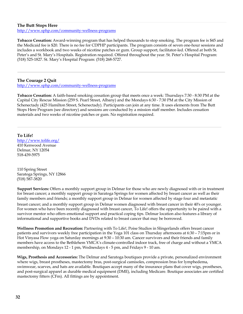#### **The Butt Stops Here**

http://www.sphp.com/community-wellness-programs

**Tobacco Cessation:** Award-winning program that has helped thousands to stop smoking. The program fee is \$45 and the Medicaid fee is \$20. There is no fee for CDPHP participants. The program consists of seven one-hour sessions and includes a workbook and two weeks of nicotine patches or gum. Group support, facilitator-led. Offered at both St. Peter's and St. Mary's Hospitals. Registration required. Offered throughout the year. St. Peter's Hospital Program: (518) 525-1827. St. Mary's Hospital Program: (518) 268-5727.

**The Courage 2 Quit**

http://www.sphp.com/community-wellness-programs

**Tobacco Cessation:** A faith-based smoking cessation group that meets once a week: Thursdays 7:30 - 8:30 PM at the Capital City Rescue Mission (259 S. Pearl Street, Albany) and the Mondays 6:30 - 7:30 PM at the City Mission of Schenectady (425 Hamilton Street, Schenectady). Participants can join at any time. It uses elements from The Butt Stops Here Program (see directory) and sessions are conducted by a mission staff member. Includes cessation materials and two weeks of nicotine patches or gum. No registration required.

**To Life!**

http://www.tolife.org/ 410 Kenwood Avenue Delmar, NY 12054 518-439-5975

110 Spring Street Saratoga Springs, NY 12866 (518) 587-3820

**Support Services:** Offers a monthly support group in Delmar for those who are newly diagnosed with or in treatment for breast cancer; a monthly support group in Saratoga Springs for women affected by breast cancer as well as their family members and friends; a monthly support group in Delmar for women affected by stage four and metastatic

breast cancer; and a monthly support group in Delmar women diagnosed with breast cancer in their 40's or younger. For women who have been recently diagnosed with breast cancer, To Life! offers the opportunity to be paired with a survivor mentor who offers emotional support and practical coping tips. Delmar location also features a library of informational and supportive books and DVDs related to breast cancer that may be borrowed.

**Wellness Promotion and Recreation:** Partnering with To Life!, Poise Studios in Slingerlands offers breast cancer patients and survivors weekly free participation in the Yoga 101 class on Thursday afternoons at 6:30 – 7:15pm or in Hot Vinyasa Flow yoga on Saturday mornings at 9:30 – 10:30 am. Cancer survivors and their friends and family members have access to the Bethlehem YMCA's climate-controlled indoor track, free of charge and without a YMCA membership, on Mondays 12 - 1 pm, Wednesdays 4 - 5 pm, and Fridays 9 - 10 am.

**Wigs, Prosthesis and Accessories:** The Delmar and Saratoga boutiques provide a private, personalized environment where wigs, breast prostheses, mastectomy bras, post-surgical camisoles, compression bras for lymphedema, swimwear, scarves, and hats are available. Boutiques accept many of the insurance plans that cover wigs, prostheses, and post-surgical apparel as durable medical equipment (DME), including Medicare. Boutique associates are certified mastectomy fitters (CFm). All fittings are by appointment.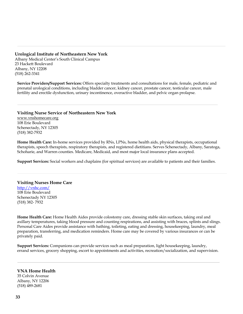#### **Urological Institute of Northeastern New York**

Albany Medical Center's South Clinical Campus 23 Hackett Boulevard Albany, NY 12208 (518) 262-3341

**Service Providers/Support Services:** Offers specialty treatments and consultations for male, female, pediatric and prenatal urological conditions, including bladder cancer, kidney cancer, prostate cancer, testicular cancer, male fertility and erectile dysfunction, urinary incontinence, overactive bladder, and pelvic organ prolapse.

**Visiting Nurse Service of Northeastern New York** www.vnshomecare.org 108 Erie Boulevard Schenectady, NY 12305 (518) 382-7932

**Home Health Care:** In-home services provided by RNs, LPNs, home health aids, physical therapists, occupational therapists, speech therapists, respiratory therapists, and registered dietitians. Serves Schenectady, Albany, Saratoga, Schoharie, and Warren counties. Medicare, Medicaid, and most major local insurance plans accepted.

**Support Services:** Social workers and chaplains (for spiritual services) are available to patients and their families.

#### **Visiting Nurses Home Care**

http://vnhc.com/ 108 Erie Boulevard Schenectady NY 12305 (518) 382- 7932

**Home Health Care:** Home Health Aides provide colostomy care, dressing stable skin surfaces, taking oral and axillary temperatures, taking blood pressure and counting respirations, and assisting with braces, splints and slings. Personal Care Aides provide assistance with bathing, toileting, eating and dressing, housekeeping, laundry, meal preparation, transferring, and medication reminders. Home care may be covered by various insurances or can be privately paid.

**Support Services:** Companions can provide services such as meal preparation, light housekeeping, laundry, errand services, grocery shopping, escort to appointments and activities, recreation/socialization, and supervision.

#### **VNA Home Health**

35 Colvin Avenue Albany, NY 12206 (518) 489-2681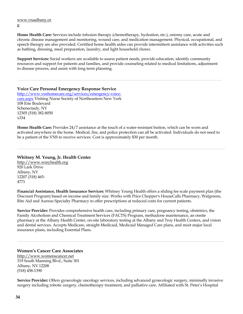#### www.vnaalbany.or

g

**Home Health Care:** Services include infusion therapy (chemotherapy, hydration, etc.), ostomy care, acute and chronic disease management and monitoring, wound care, and medication management. Physical, occupational, and speech therapy are also provided. Certified home health aides can provide intermittent assistance with activities such as bathing, dressing, meal preparation, laundry, and light household chores.

**Support Services:** Social workers are available to assess patient needs, provide education, identify community resources and support for patients and families, and provide counseling related to medical limitations, adjustment to disease process, and assist with long term planning.

**Voice Care Personal Emergency Response Service**  http://www.vnshomecare.org/services/emergency-voicecare.aspx Visiting Nurse Society of Northeastern New York 108 Erie Boulevard Schenectady, NY 12305 (518) 382-8050 x334

**Home Health Care:** Provides 24/7 assistance at the touch of a water-resistant button, which can be worn and activated anywhere in the home. Medical, fire, and police protection can all be activated. Individuals do not need to be a patient of the VNS to receive services. Cost is approximately \$30 per month.

#### **Whitney M. Young, Jr. Health Center**

http://www.wmyhealth.org 920 Lark Drive Albany, NY 12207 (518) 465- 4771

**Financial Assistance, Health Insurance Services:** Whitney Young Health offers a sliding fee scale payment plan (the Discount Program) based on income and family size. Works with Price Chopper's HouseCalls Pharmacy, Walgreens, Rite Aid and Aureus Specialty Pharmacy to offer prescriptions at reduced costs for current patients.

**Service Provider:** Provides comprehensive health care, including primary care, pregnancy testing, obstetrics, the Family Alcoholism and Chemical Treatment Services (FACTS) Program, methadone maintenance, an onsite pharmacy at the Albany Health Center, on-site laboratory testing at the Albany and Troy Health Centers, and vision and dental services. Accepts Medicare, straight Medicaid, Medicaid Managed Care plans, and most major local insurance plans, including Essential Plans.

#### **Women's Cancer Care Associates**

http://www.womenscancer.net 319 South Manning Blvd., Suite 301 Albany, NY 12208 (518) 458-1390

**Service Provider:** Offers gynecologic oncology services, including advanced gynecologic surgery, minimally invasive surgery including robotic surgery, chemotherapy treatment, and palliative care. Affiliated with St. Peter's Hospital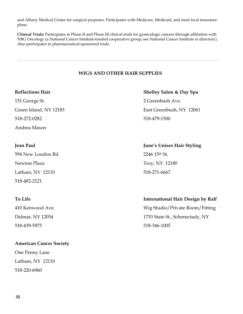and Albany Medical Center for surgical purposes. Participates with Medicare, Medicaid, and most local insurance plans.

**Clinical Trials:** Participates in Phase II and Phase III clinical trials for gynecologic cancers through affiliation with NRG Oncology (a National Cancer Institute-funded cooperative group; see National Cancer Institute in directory). Also participates in pharmaceutical-sponsored trials.

#### **WIGS AND OTHER HAIR SUPPLIES**

151 George St. 2 Greenbush Ave. 518-272-0282 518-479-1500 Andrea Mason

594 New Loudon Rd 2246 15th St. Newton Plaza Troy, NY 12180 Latham, NY 12110 518-271-6667 518-482-2121

518-439-5975 518-346-1005

### **American Cancer Society**

One Penny Lane Latham, NY 12110 518-220-6960

**Reflections Hair Shelley Salon & Day Spa** Green Island, NY 12183 East Greenbush, NY 12061

**Jean Paul June's Unisex Hair Styling**

#### **To Life International Hair Design by Ralf**

410 Kenwood Ave. Wig Studio/Private Room/Fitting Delmar, NY 12054 1753 State St., Schenectady, NY